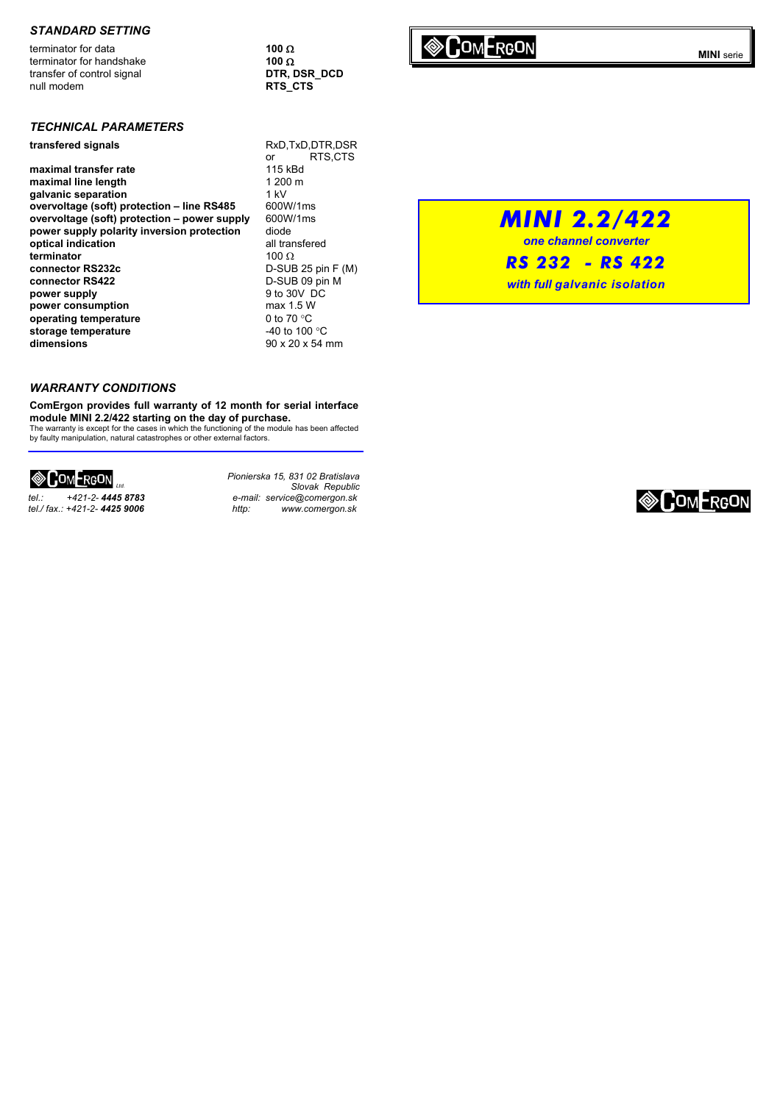#### *STANDARD SETTING*

**MINI Serie Terminator for data 100 Ω**<br> **MINI** serie **100 Ω**<br> **MINI** serie 100 Ω terminator for handshake **100 Ω**<br>transfer of control signal **100 DTR, DSR DCD** transfer of control signal null modem **RTS\_CTS** 

### *TECHNICAL PARAMETERS*

**maximal transfer rate** 115 kBd<br> **maximal line length** 1200 m maximal line length galvanic separation **1 kV**<br>
overvoltage (soft) protection – line RS485 600W/1ms **overvoltage (soft) protection - line RS485 overvoltage (soft) protection – power supply** 600W/1ms **power supply polarity inversion protection** diode<br> **portical indication** all transfered **optical indication terminator** 100 Ω **connector RS422** D-SUB 09 pin M<br> **power supply** 9 to 30V DC **power supply** 9 to 30V D<br> **power consumption** 6 max 1.5 W **power consumption operating temperature** 0 to 70 °C<br> **operation of the storage temperature** 40 to 100 °C storage temperature **dimensions** 90 x 20 x 54 mm

**transfered signals** RxD,TxD,DTR,DSR or RTS,CTS<br>115 kBd **connector RS232c** D-SUB 25 pin F (M)

### *WARRANTY CONDITIONS*

**ComErgon provides full warranty of 12 month for serial interface** 

**module MINI 2.2/422 starting on the day of purchase.**<br>The warranty is except for the cases in which the functioning of the module has been affected<br>by faulty manipulation, natural catastrophes or other external factors.

## **&COMERGON**

*tel./ fax.: +421-2- 4425 9006 http: www.comergon.sk*

*Pionierska 15, 831 02 Bratislava Slovak Republic tel.: +421-2- 4445 8783 e-mail: service@comergon.sk* 

# *MINI 2.2/422*

*one channel converter* 

*RS 232 - RS 422*

*with full galvanic isolation*

**EOMERGON**